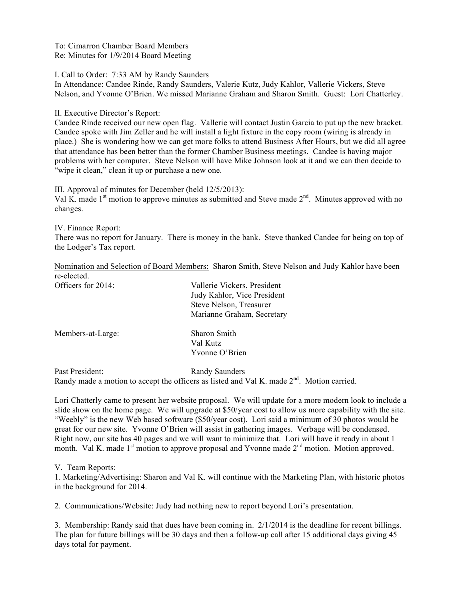To: Cimarron Chamber Board Members Re: Minutes for 1/9/2014 Board Meeting

I. Call to Order: 7:33 AM by Randy Saunders

In Attendance: Candee Rinde, Randy Saunders, Valerie Kutz, Judy Kahlor, Vallerie Vickers, Steve Nelson, and Yvonne O'Brien. We missed Marianne Graham and Sharon Smith. Guest: Lori Chatterley.

II. Executive Director's Report:

Candee Rinde received our new open flag. Vallerie will contact Justin Garcia to put up the new bracket. Candee spoke with Jim Zeller and he will install a light fixture in the copy room (wiring is already in place.) She is wondering how we can get more folks to attend Business After Hours, but we did all agree that attendance has been better than the former Chamber Business meetings. Candee is having major problems with her computer. Steve Nelson will have Mike Johnson look at it and we can then decide to "wipe it clean," clean it up or purchase a new one.

III. Approval of minutes for December (held 12/5/2013): Val K. made  $1<sup>st</sup>$  motion to approve minutes as submitted and Steve made  $2<sup>nd</sup>$ . Minutes approved with no changes.

IV. Finance Report:

There was no report for January. There is money in the bank. Steve thanked Candee for being on top of the Lodger's Tax report.

Nomination and Selection of Board Members: Sharon Smith, Steve Nelson and Judy Kahlor have been re-elected.

| Officers for 2014: | Vallerie Vickers, President<br>Judy Kahlor, Vice President<br>Steve Nelson, Treasurer |
|--------------------|---------------------------------------------------------------------------------------|
|                    | Marianne Graham, Secretary                                                            |
| Members-at-Large:  | Sharon Smith                                                                          |
|                    | Val Kutz                                                                              |
|                    | Yvonne O'Brien                                                                        |
|                    |                                                                                       |

Past President: Randy Saunders Randy made a motion to accept the officers as listed and Val K. made  $2<sup>nd</sup>$ . Motion carried.

Lori Chatterly came to present her website proposal. We will update for a more modern look to include a slide show on the home page. We will upgrade at \$50/year cost to allow us more capability with the site. "Weebly" is the new Web based software (\$50/year cost). Lori said a minimum of 30 photos would be great for our new site. Yvonne O'Brien will assist in gathering images. Verbage will be condensed. Right now, our site has 40 pages and we will want to minimize that. Lori will have it ready in about 1 month. Val K. made 1<sup>st</sup> motion to approve proposal and Yvonne made 2<sup>nd</sup> motion. Motion approved.

V. Team Reports:

1. Marketing/Advertising: Sharon and Val K. will continue with the Marketing Plan, with historic photos in the background for 2014.

2. Communications/Website: Judy had nothing new to report beyond Lori's presentation.

3. Membership: Randy said that dues have been coming in. 2/1/2014 is the deadline for recent billings. The plan for future billings will be 30 days and then a follow-up call after 15 additional days giving 45 days total for payment.